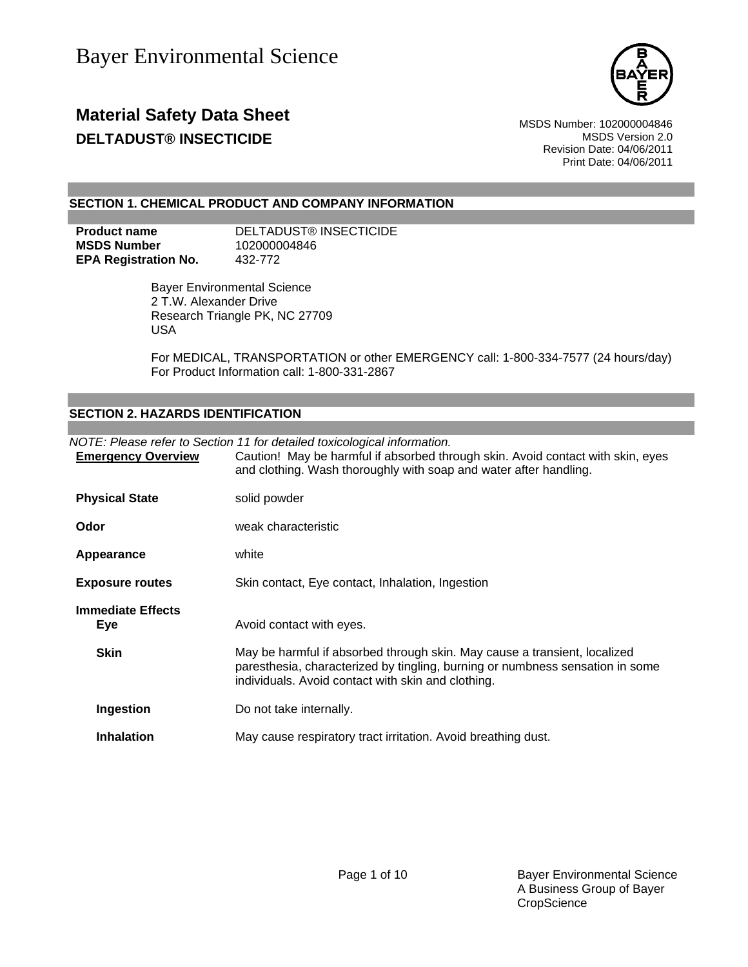

## **Material Safety Data Sheet** Material Safety Data Sheet MSDS Number: 102000004846 **DELTADUST® INSECTICIDE MSDS** Version 2.0

Revision Date: 04/06/2011 Print Date: 04/06/2011

#### **SECTION 1. CHEMICAL PRODUCT AND COMPANY INFORMATION**

| Product name                | DELTADUST® INSECTICIDE |
|-----------------------------|------------------------|
| MSDS Number                 | 102000004846           |
| <b>EPA Registration No.</b> | 432-772                |

Bayer Environmental Science 2 T.W. Alexander Drive Research Triangle PK, NC 27709 USA

For MEDICAL, TRANSPORTATION or other EMERGENCY call: 1-800-334-7577 (24 hours/day) For Product Information call: 1-800-331-2867

#### **SECTION 2. HAZARDS IDENTIFICATION**

| <b>Emergency Overview</b>       | NOTE: Please refer to Section 11 for detailed toxicological information.<br>Caution! May be harmful if absorbed through skin. Avoid contact with skin, eyes<br>and clothing. Wash thoroughly with soap and water after handling. |
|---------------------------------|----------------------------------------------------------------------------------------------------------------------------------------------------------------------------------------------------------------------------------|
| <b>Physical State</b>           | solid powder                                                                                                                                                                                                                     |
| Odor                            | weak characteristic                                                                                                                                                                                                              |
| Appearance                      | white                                                                                                                                                                                                                            |
| <b>Exposure routes</b>          | Skin contact, Eye contact, Inhalation, Ingestion                                                                                                                                                                                 |
| <b>Immediate Effects</b><br>Eye | Avoid contact with eyes.                                                                                                                                                                                                         |
| <b>Skin</b>                     | May be harmful if absorbed through skin. May cause a transient, localized<br>paresthesia, characterized by tingling, burning or numbness sensation in some<br>individuals. Avoid contact with skin and clothing.                 |
| <b>Ingestion</b>                | Do not take internally.                                                                                                                                                                                                          |
| <b>Inhalation</b>               | May cause respiratory tract irritation. Avoid breathing dust.                                                                                                                                                                    |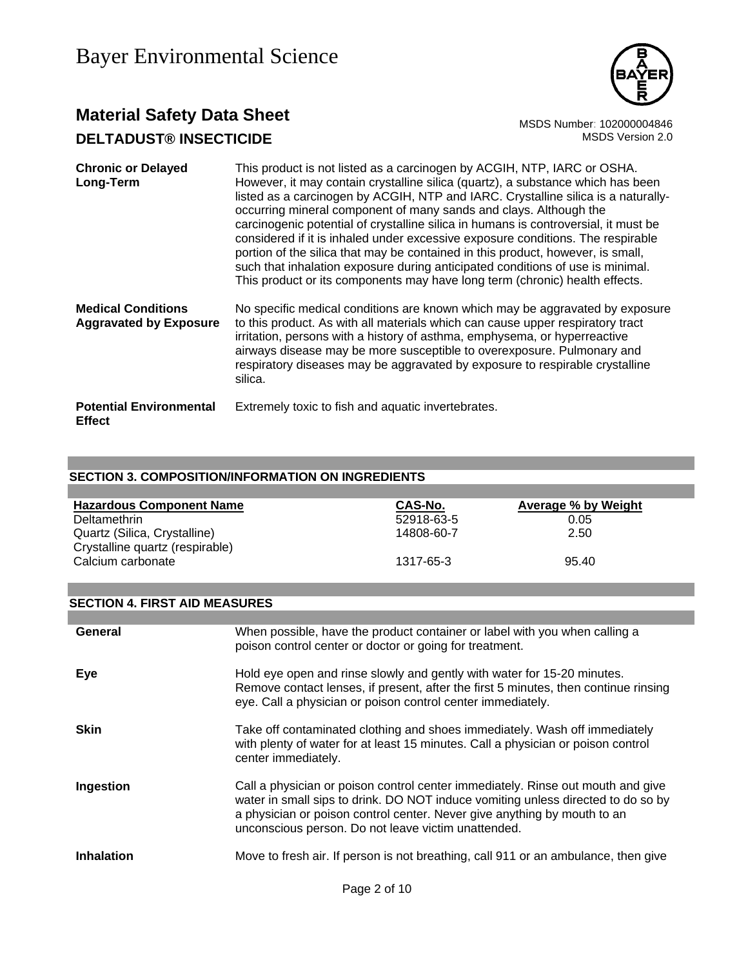

## **Material Safety Data Sheet**<br>**DEL TADUST® INSECTICIDE** MSDS Number: 102000004846<br>MSDS Version 2.0 **DELTADUST® INSECTICIDE**

| <b>Chronic or Delayed</b><br>Long-Term                     | This product is not listed as a carcinogen by ACGIH, NTP, IARC or OSHA.<br>However, it may contain crystalline silica (quartz), a substance which has been<br>listed as a carcinogen by ACGIH, NTP and IARC. Crystalline silica is a naturally-<br>occurring mineral component of many sands and clays. Although the<br>carcinogenic potential of crystalline silica in humans is controversial, it must be<br>considered if it is inhaled under excessive exposure conditions. The respirable<br>portion of the silica that may be contained in this product, however, is small,<br>such that inhalation exposure during anticipated conditions of use is minimal.<br>This product or its components may have long term (chronic) health effects. |
|------------------------------------------------------------|----------------------------------------------------------------------------------------------------------------------------------------------------------------------------------------------------------------------------------------------------------------------------------------------------------------------------------------------------------------------------------------------------------------------------------------------------------------------------------------------------------------------------------------------------------------------------------------------------------------------------------------------------------------------------------------------------------------------------------------------------|
| <b>Medical Conditions</b><br><b>Aggravated by Exposure</b> | No specific medical conditions are known which may be aggravated by exposure<br>to this product. As with all materials which can cause upper respiratory tract<br>irritation, persons with a history of asthma, emphysema, or hyperreactive<br>airways disease may be more susceptible to overexposure. Pulmonary and<br>respiratory diseases may be aggravated by exposure to respirable crystalline<br>silica.                                                                                                                                                                                                                                                                                                                                   |
| <b>Potential Environmental</b><br><b>Effect</b>            | Extremely toxic to fish and aquatic invertebrates.                                                                                                                                                                                                                                                                                                                                                                                                                                                                                                                                                                                                                                                                                                 |

### **SECTION 3. COMPOSITION/INFORMATION ON INGREDIENTS**

| <b>Hazardous Component Name</b> | CAS-No.    | Average % by Weight |
|---------------------------------|------------|---------------------|
| <b>Deltamethrin</b>             | 52918-63-5 | 0.05                |
| Quartz (Silica, Crystalline)    | 14808-60-7 | 2.50                |
| Crystalline quartz (respirable) |            |                     |
| Calcium carbonate               | 1317-65-3  | 95.40               |
|                                 |            |                     |

#### **SECTION 4. FIRST AID MEASURES**

| General           | When possible, have the product container or label with you when calling a<br>poison control center or doctor or going for treatment.                                                                                                                                                                  |
|-------------------|--------------------------------------------------------------------------------------------------------------------------------------------------------------------------------------------------------------------------------------------------------------------------------------------------------|
| Eye               | Hold eye open and rinse slowly and gently with water for 15-20 minutes.<br>Remove contact lenses, if present, after the first 5 minutes, then continue rinsing<br>eye. Call a physician or poison control center immediately.                                                                          |
| Skin              | Take off contaminated clothing and shoes immediately. Wash off immediately<br>with plenty of water for at least 15 minutes. Call a physician or poison control<br>center immediately.                                                                                                                  |
| Ingestion         | Call a physician or poison control center immediately. Rinse out mouth and give<br>water in small sips to drink. DO NOT induce vomiting unless directed to do so by<br>a physician or poison control center. Never give anything by mouth to an<br>unconscious person. Do not leave victim unattended. |
| <b>Inhalation</b> | Move to fresh air. If person is not breathing, call 911 or an ambulance, then give                                                                                                                                                                                                                     |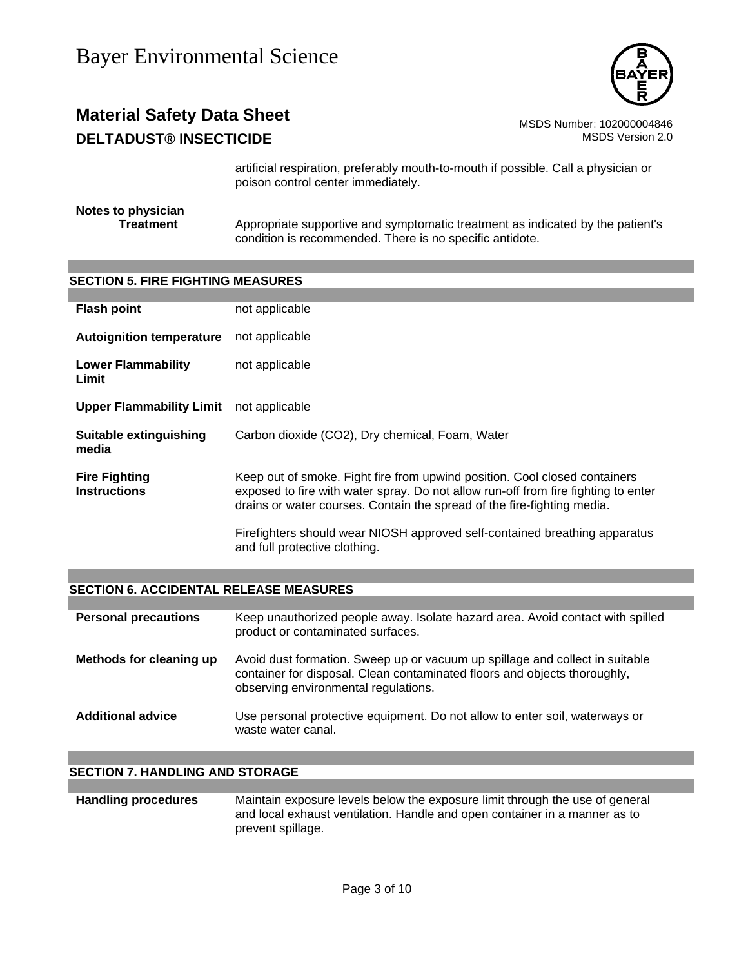

## **Material Safety Data Sheet** MSDS Number: 102000004846 **DELTADUST® INSECTICIDE MSDS** Version 2.0

artificial respiration, preferably mouth-to-mouth if possible. Call a physician or poison control center immediately.

#### **Notes to physician Treatment** Appropriate supportive and symptomatic treatment as indicated by the patient's condition is recommended. There is no specific antidote.

#### **SECTION 5. FIRE FIGHTING MEASURES**

| <b>Flash point</b>                          | not applicable                                                                                                                                                                                                                              |
|---------------------------------------------|---------------------------------------------------------------------------------------------------------------------------------------------------------------------------------------------------------------------------------------------|
| <b>Autoignition temperature</b>             | not applicable                                                                                                                                                                                                                              |
| <b>Lower Flammability</b><br>Limit          | not applicable                                                                                                                                                                                                                              |
| <b>Upper Flammability Limit</b>             | not applicable                                                                                                                                                                                                                              |
| Suitable extinguishing<br>media             | Carbon dioxide (CO2), Dry chemical, Foam, Water                                                                                                                                                                                             |
| <b>Fire Fighting</b><br><b>Instructions</b> | Keep out of smoke. Fight fire from upwind position. Cool closed containers<br>exposed to fire with water spray. Do not allow run-off from fire fighting to enter<br>drains or water courses. Contain the spread of the fire-fighting media. |
|                                             | Firefighters should wear NIOSH approved self-contained breathing apparatus<br>and full protective clothing.                                                                                                                                 |

#### **SECTION 6. ACCIDENTAL RELEASE MEASURES**

| <b>Personal precautions</b> | Keep unauthorized people away. Isolate hazard area. Avoid contact with spilled<br>product or contaminated surfaces.                                                                               |
|-----------------------------|---------------------------------------------------------------------------------------------------------------------------------------------------------------------------------------------------|
| Methods for cleaning up     | Avoid dust formation. Sweep up or vacuum up spillage and collect in suitable<br>container for disposal. Clean contaminated floors and objects thoroughly,<br>observing environmental regulations. |
| <b>Additional advice</b>    | Use personal protective equipment. Do not allow to enter soil, waterways or<br>waste water canal.                                                                                                 |

#### **SECTION 7. HANDLING AND STORAGE**

**Handling procedures** Maintain exposure levels below the exposure limit through the use of general and local exhaust ventilation. Handle and open container in a manner as to prevent spillage.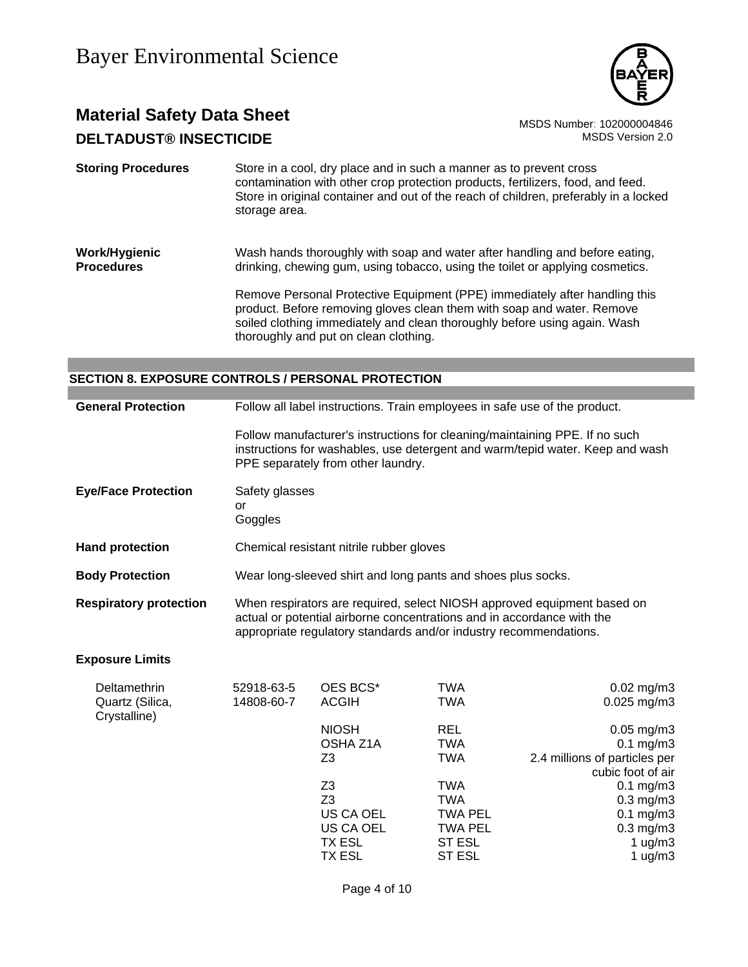

## **Material Safety Data Sheet** MSDS Number: 102000004846 **DELTADUST® INSECTICIDE MSDS** Version 2.0

**Storing Procedures** Store in a cool, dry place and in such a manner as to prevent cross contamination with other crop protection products, fertilizers, food, and feed. Store in original container and out of the reach of children, preferably in a locked storage area.

#### **Work/Hygienic Procedures** Wash hands thoroughly with soap and water after handling and before eating, drinking, chewing gum, using tobacco, using the toilet or applying cosmetics.

Remove Personal Protective Equipment (PPE) immediately after handling this product. Before removing gloves clean them with soap and water. Remove soiled clothing immediately and clean thoroughly before using again. Wash thoroughly and put on clean clothing.

> OSHA Z1A TWA 0.1 mg/m3 Z3 TWA 2.4 millions of particles per

> Z3 TWA 0.1 mg/m3 Z3 TWA 0.3 mg/m3 US CA OEL TWA PEL 0.1 mg/m3 US CA OEL TWA PEL 0.3 mg/m3 TX ESL ST ESL 1 ug/m3 TX ESL ST ESL 1 ug/m3

cubic foot of air

#### **SECTION 8. EXPOSURE CONTROLS / PERSONAL PROTECTION**

| <b>General Protection</b>                              | Follow all label instructions. Train employees in safe use of the product.                                                                                                                                             |                                          |                                                                                                                                                              |                                        |
|--------------------------------------------------------|------------------------------------------------------------------------------------------------------------------------------------------------------------------------------------------------------------------------|------------------------------------------|--------------------------------------------------------------------------------------------------------------------------------------------------------------|----------------------------------------|
|                                                        |                                                                                                                                                                                                                        | PPE separately from other laundry.       | Follow manufacturer's instructions for cleaning/maintaining PPE. If no such<br>instructions for washables, use detergent and warm/tepid water. Keep and wash |                                        |
| <b>Eye/Face Protection</b>                             | Safety glasses<br>or<br>Goggles                                                                                                                                                                                        |                                          |                                                                                                                                                              |                                        |
| <b>Hand protection</b>                                 |                                                                                                                                                                                                                        | Chemical resistant nitrile rubber gloves |                                                                                                                                                              |                                        |
| <b>Body Protection</b>                                 | Wear long-sleeved shirt and long pants and shoes plus socks.                                                                                                                                                           |                                          |                                                                                                                                                              |                                        |
| <b>Respiratory protection</b>                          | When respirators are required, select NIOSH approved equipment based on<br>actual or potential airborne concentrations and in accordance with the<br>appropriate regulatory standards and/or industry recommendations. |                                          |                                                                                                                                                              |                                        |
| <b>Exposure Limits</b>                                 |                                                                                                                                                                                                                        |                                          |                                                                                                                                                              |                                        |
| <b>Deltamethrin</b><br>Quartz (Silica,<br>Crystalline) | 52918-63-5<br>14808-60-7                                                                                                                                                                                               | OES BCS*<br><b>ACGIH</b>                 | TWA<br>TWA                                                                                                                                                   | $0.02 \text{ mg/m}$ 3<br>$0.025$ mg/m3 |
|                                                        |                                                                                                                                                                                                                        | <b>NIOSH</b>                             | <b>REL</b>                                                                                                                                                   | $0.05$ mg/m $3$                        |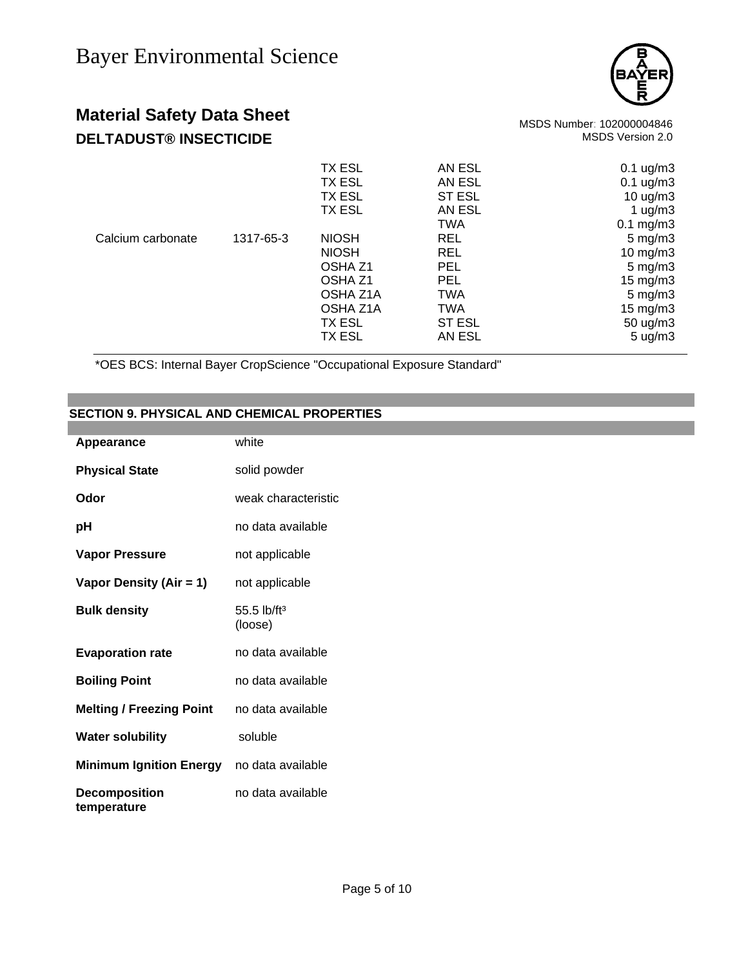

# **Material Safety Data Sheet**<br>102000004846 MSDS Number: 102000004846<br>1.0. MSDS Version 2.0

### **DELTADUST® INSECTICIDE**

|                   |           | <b>TX ESL</b> | AN ESL        | $0.1 \text{ ug/m}3$  |
|-------------------|-----------|---------------|---------------|----------------------|
|                   |           | <b>TX ESL</b> | AN ESL        | $0.1 \text{ ug/m}3$  |
|                   |           | <b>TX ESL</b> | <b>ST ESL</b> | 10 $\mu$ g/m3        |
|                   |           | <b>TX ESL</b> | AN ESL        | 1 $\mu$ g/m3         |
|                   |           |               | <b>TWA</b>    | $0.1 \text{ mg/m}$ 3 |
| Calcium carbonate | 1317-65-3 | <b>NIOSH</b>  | <b>REL</b>    | $5 \text{ mg/m}$ 3   |
|                   |           | <b>NIOSH</b>  | <b>REL</b>    | $10 \text{ mg/m}$ 3  |
|                   |           | OSHA Z1       | <b>PEL</b>    | $5 \text{ mg/m}$ 3   |
|                   |           | OSHA Z1       | <b>PEL</b>    | 15 mg/m $3$          |
|                   |           | OSHA Z1A      | <b>TWA</b>    | $5 \text{ mg/m}$ 3   |
|                   |           | OSHA Z1A      | <b>TWA</b>    | $15 \text{ mg/m}$ 3  |
|                   |           | TX ESL        | <b>ST ESL</b> | 50 ug/m3             |
|                   |           | <b>TX ESL</b> | AN ESL        | $5 \text{ u}g/m3$    |
|                   |           |               |               |                      |

\*OES BCS: Internal Bayer CropScience "Occupational Exposure Standard"

#### **SECTION 9. PHYSICAL AND CHEMICAL PROPERTIES**

| Appearance                                | white                                |
|-------------------------------------------|--------------------------------------|
| <b>Physical State</b>                     | solid powder                         |
| Odor                                      | weak characteristic                  |
| рH                                        | no data available                    |
| <b>Vapor Pressure</b>                     | not applicable                       |
| Vapor Density (Air = 1)                   | not applicable                       |
| <b>Bulk density</b>                       | $55.5$ lb/ft <sup>3</sup><br>(loose) |
| <b>Evaporation rate</b>                   | no data available                    |
| <b>Boiling Point</b>                      | no data available                    |
| <b>Melting / Freezing Point</b>           | no data available                    |
| <b>Water solubility</b>                   | soluble                              |
| Minimum Ignition Energy no data available |                                      |
| <b>Decomposition</b><br>temperature       | no data available                    |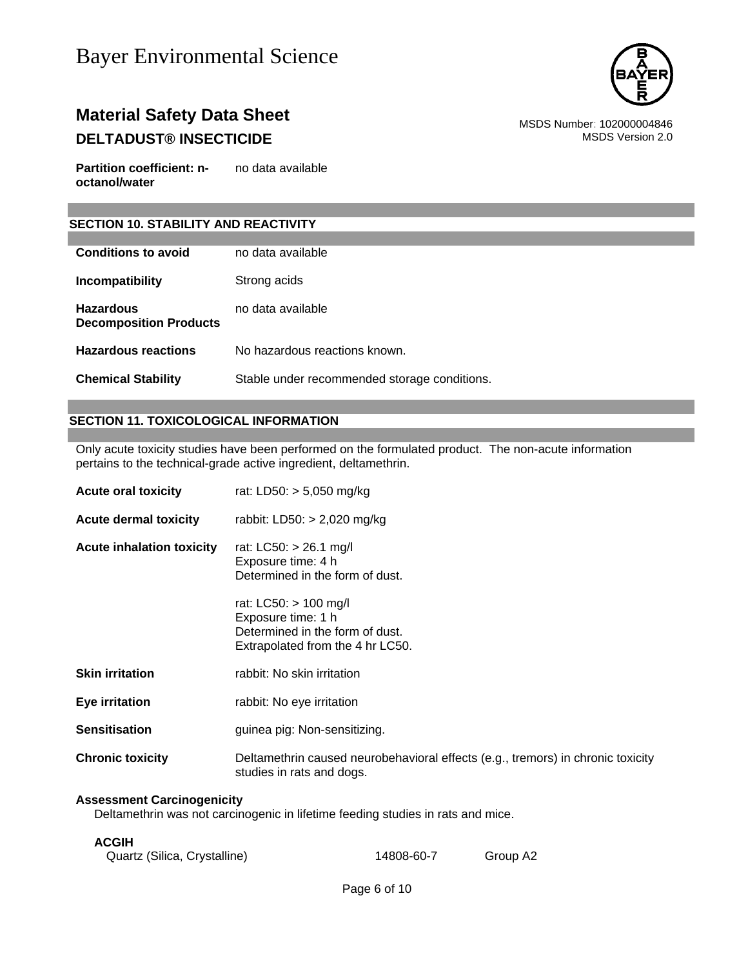

## **Material Safety Data Sheet** Material Safety Data Sheet<br>102000004846 MSDS Number: 102000004846<br>1.0 MSDS Version 2.0 **DELTADUST® INSECTICIDE**

**Partition coefficient: noctanol/water** no data available

#### **SECTION 10. STABILITY AND REACTIVITY**

| <b>Conditions to avoid</b>                        | no data available.                           |
|---------------------------------------------------|----------------------------------------------|
| Incompatibility                                   | Strong acids                                 |
| <b>Hazardous</b><br><b>Decomposition Products</b> | no data available                            |
| <b>Hazardous reactions</b>                        | No hazardous reactions known.                |
| <b>Chemical Stability</b>                         | Stable under recommended storage conditions. |

#### **SECTION 11. TOXICOLOGICAL INFORMATION**

Only acute toxicity studies have been performed on the formulated product. The non-acute information pertains to the technical-grade active ingredient, deltamethrin.

| <b>Acute oral toxicity</b>       | rat: LD50: $> 5,050$ mg/kg                                                                                         |
|----------------------------------|--------------------------------------------------------------------------------------------------------------------|
| <b>Acute dermal toxicity</b>     | rabbit: LD50: $> 2,020$ mg/kg                                                                                      |
| <b>Acute inhalation toxicity</b> | rat: LC50: > 26.1 mg/l<br>Exposure time: 4 h<br>Determined in the form of dust.                                    |
|                                  | rat: LC50: > 100 mg/l<br>Exposure time: 1 h<br>Determined in the form of dust.<br>Extrapolated from the 4 hr LC50. |
| <b>Skin irritation</b>           | rabbit: No skin irritation                                                                                         |
| Eye irritation                   | rabbit: No eye irritation                                                                                          |
| <b>Sensitisation</b>             | guinea pig: Non-sensitizing.                                                                                       |
| <b>Chronic toxicity</b>          | Deltamethrin caused neurobehavioral effects (e.g., tremors) in chronic toxicity<br>studies in rats and dogs.       |

#### **Assessment Carcinogenicity**

Deltamethrin was not carcinogenic in lifetime feeding studies in rats and mice.

#### **ACGIH**

| Quartz (Silica, Crystalline) | 14808-60-7 | Group A2 |
|------------------------------|------------|----------|
|------------------------------|------------|----------|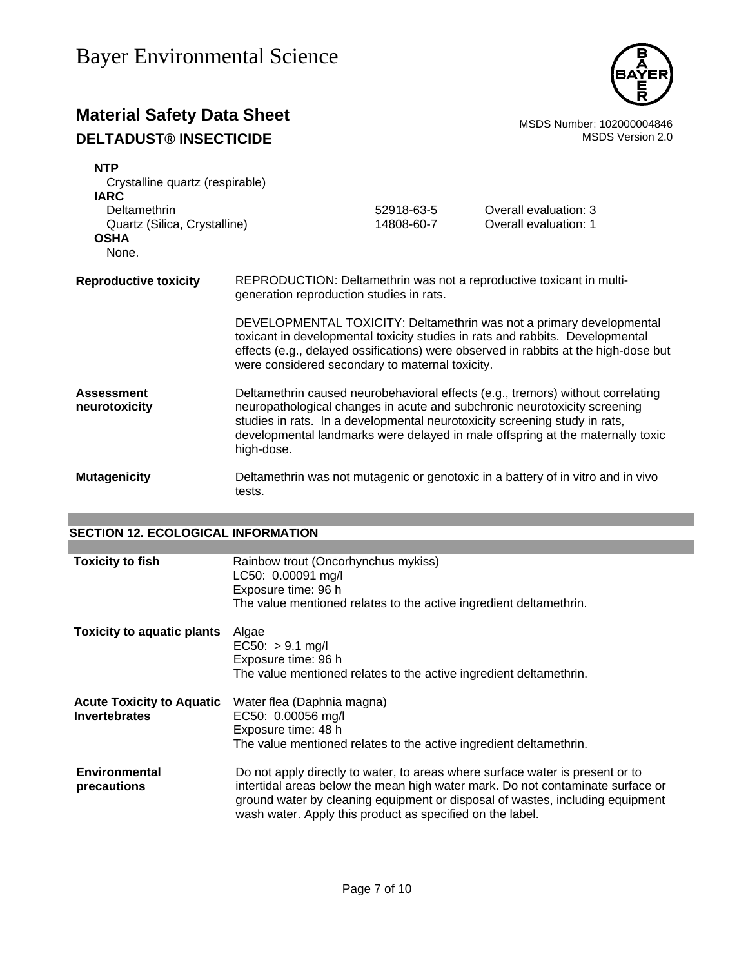

## **Material Safety Data Sheet**<br>**DEL TADUST® INSECTICIDE** MSDS Number: 102000004846<br>MSDS Version 2.0 **DELTADUST® INSECTICIDE**

| <b>NTP</b><br>Crystalline quartz (respirable)                        |                                                                                                                                                                                                                                                                                                                                            |                          |                                                                                                                                                                                                                                              |
|----------------------------------------------------------------------|--------------------------------------------------------------------------------------------------------------------------------------------------------------------------------------------------------------------------------------------------------------------------------------------------------------------------------------------|--------------------------|----------------------------------------------------------------------------------------------------------------------------------------------------------------------------------------------------------------------------------------------|
| <b>IARC</b>                                                          |                                                                                                                                                                                                                                                                                                                                            |                          |                                                                                                                                                                                                                                              |
| Deltamethrin<br>Quartz (Silica, Crystalline)<br><b>OSHA</b><br>None. |                                                                                                                                                                                                                                                                                                                                            | 52918-63-5<br>14808-60-7 | Overall evaluation: 3<br>Overall evaluation: 1                                                                                                                                                                                               |
| <b>Reproductive toxicity</b>                                         | REPRODUCTION: Deltamethrin was not a reproductive toxicant in multi-<br>generation reproduction studies in rats.                                                                                                                                                                                                                           |                          |                                                                                                                                                                                                                                              |
|                                                                      | were considered secondary to maternal toxicity.                                                                                                                                                                                                                                                                                            |                          | DEVELOPMENTAL TOXICITY: Deltamethrin was not a primary developmental<br>toxicant in developmental toxicity studies in rats and rabbits. Developmental<br>effects (e.g., delayed ossifications) were observed in rabbits at the high-dose but |
| <b>Assessment</b><br>neurotoxicity                                   | Deltamethrin caused neurobehavioral effects (e.g., tremors) without correlating<br>neuropathological changes in acute and subchronic neurotoxicity screening<br>studies in rats. In a developmental neurotoxicity screening study in rats,<br>developmental landmarks were delayed in male offspring at the maternally toxic<br>high-dose. |                          |                                                                                                                                                                                                                                              |
| <b>Mutagenicity</b>                                                  | tests.                                                                                                                                                                                                                                                                                                                                     |                          | Deltamethrin was not mutagenic or genotoxic in a battery of in vitro and in vivo                                                                                                                                                             |

#### **SECTION 12. ECOLOGICAL INFORMATION**

| <b>Toxicity to fish</b>                           | Rainbow trout (Oncorhynchus mykiss)<br>LC50: 0.00091 mg/l<br>Exposure time: 96 h<br>The value mentioned relates to the active ingredient deltamethrin.                                                                                                                                                        |
|---------------------------------------------------|---------------------------------------------------------------------------------------------------------------------------------------------------------------------------------------------------------------------------------------------------------------------------------------------------------------|
| <b>Toxicity to aquatic plants</b>                 | Algae<br>$EC50: > 9.1$ mg/l<br>Exposure time: 96 h<br>The value mentioned relates to the active ingredient deltamethrin.                                                                                                                                                                                      |
| <b>Acute Toxicity to Aquatic</b><br>Invertebrates | Water flea (Daphnia magna)<br>EC50: 0.00056 mg/l<br>Exposure time: 48 h<br>The value mentioned relates to the active ingredient deltamethrin.                                                                                                                                                                 |
| <b>Environmental</b><br>precautions               | Do not apply directly to water, to areas where surface water is present or to<br>intertidal areas below the mean high water mark. Do not contaminate surface or<br>ground water by cleaning equipment or disposal of wastes, including equipment<br>wash water. Apply this product as specified on the label. |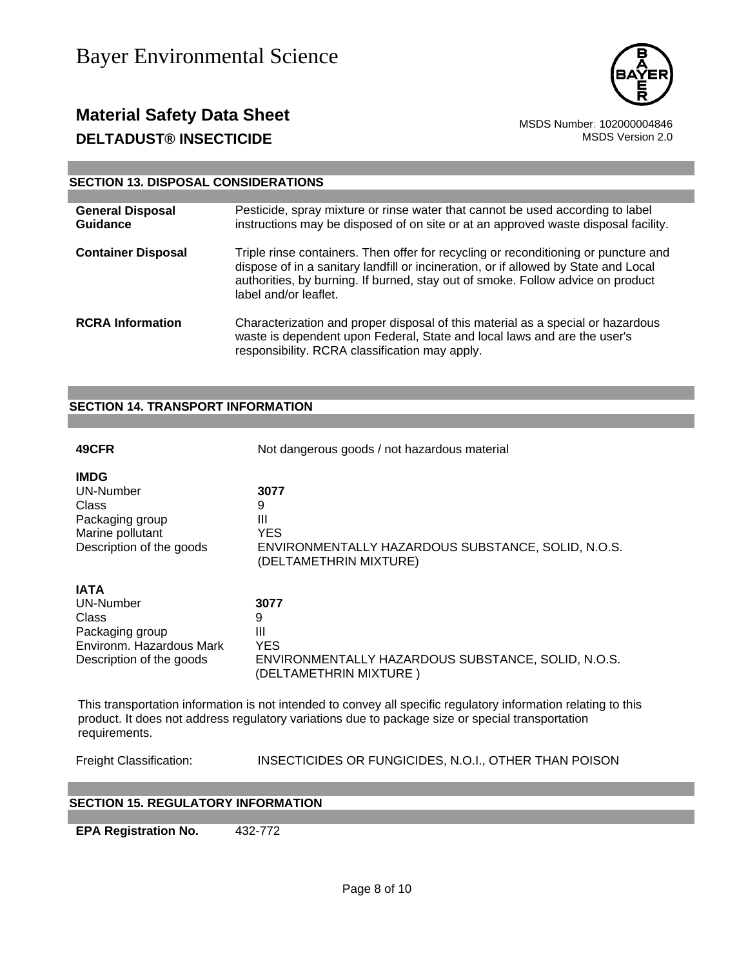

## **Material Safety Data Sheet**<br>102000004846 MSDS Number: 102000004846<br>1.0.0 MSDS Version 2.0 **DELTADUST® INSECTICIDE**

#### **SECTION 13. DISPOSAL CONSIDERATIONS**

| <b>General Disposal</b><br><b>Guidance</b> | Pesticide, spray mixture or rinse water that cannot be used according to label<br>instructions may be disposed of on site or at an approved waste disposal facility.                                                                                                                   |
|--------------------------------------------|----------------------------------------------------------------------------------------------------------------------------------------------------------------------------------------------------------------------------------------------------------------------------------------|
| <b>Container Disposal</b>                  | Triple rinse containers. Then offer for recycling or reconditioning or puncture and<br>dispose of in a sanitary landfill or incineration, or if allowed by State and Local<br>authorities, by burning. If burned, stay out of smoke. Follow advice on product<br>label and/or leaflet. |
| <b>RCRA</b> Information                    | Characterization and proper disposal of this material as a special or hazardous<br>waste is dependent upon Federal, State and local laws and are the user's<br>responsibility. RCRA classification may apply.                                                                          |

#### **SECTION 14. TRANSPORT INFORMATION**

| 49CFR                                                                                                                                                                                                                               | Not dangerous goods / not hazardous material                                                                 |  |
|-------------------------------------------------------------------------------------------------------------------------------------------------------------------------------------------------------------------------------------|--------------------------------------------------------------------------------------------------------------|--|
| <b>IMDG</b><br>UN-Number<br>Class<br>Packaging group<br>Marine pollutant<br>Description of the goods                                                                                                                                | 3077<br>9<br>Ш<br><b>YES</b><br>ENVIRONMENTALLY HAZARDOUS SUBSTANCE, SOLID, N.O.S.<br>(DELTAMETHRIN MIXTURE) |  |
| <b>IATA</b><br>UN-Number<br>Class<br>Packaging group<br>Environm. Hazardous Mark<br>Description of the goods                                                                                                                        | 3077<br>9<br>Ш<br><b>YES</b><br>ENVIRONMENTALLY HAZARDOUS SUBSTANCE, SOLID, N.O.S.<br>(DELTAMETHRIN MIXTURE) |  |
| This transportation information is not intended to convey all specific regulatory information relating to this<br>product. It does not address regulatory variations due to package size or special transportation<br>requirements. |                                                                                                              |  |
| Freight Classification:                                                                                                                                                                                                             | INSECTICIDES OR FUNGICIDES, N.O.I., OTHER THAN POISON                                                        |  |

#### **SECTION 15. REGULATORY INFORMATION**

**EPA Registration No.** 432-772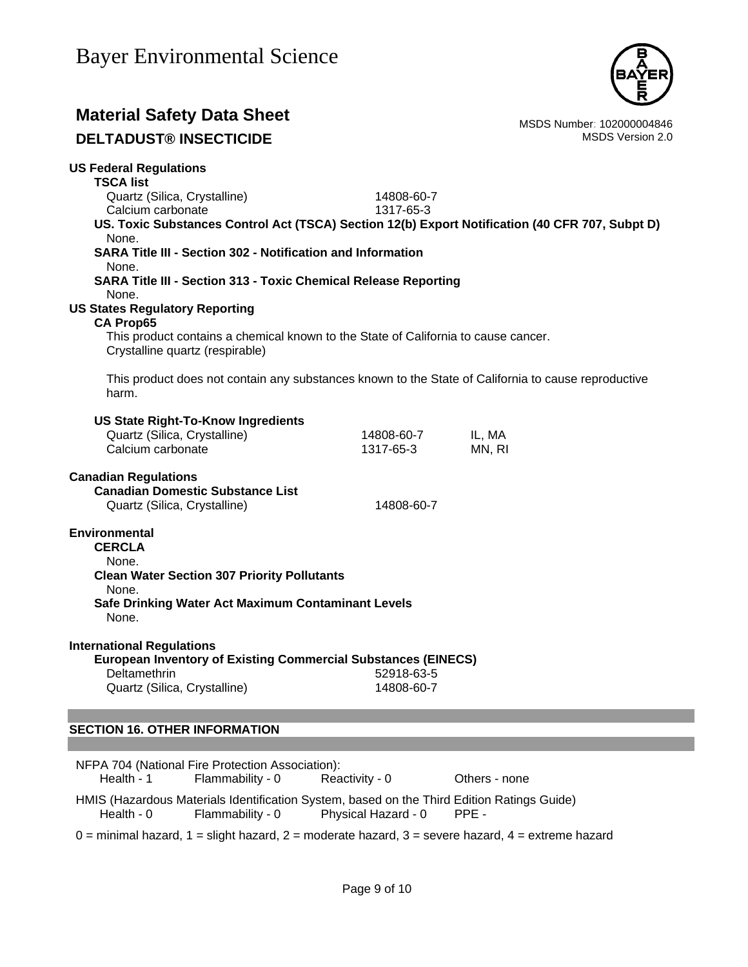

## **Material Safety Data Sheet**<br>102000004846 MSDS Number: 102000004846<br>1.0.0 MSDS Version 2.0

**DELTADUST® INSECTICIDE** 

| <b>US Federal Regulations</b>                                                                                         |                                                    |        |  |
|-----------------------------------------------------------------------------------------------------------------------|----------------------------------------------------|--------|--|
| <b>TSCA list</b>                                                                                                      |                                                    |        |  |
| Quartz (Silica, Crystalline)                                                                                          | 14808-60-7                                         |        |  |
| Calcium carbonate                                                                                                     | 1317-65-3                                          |        |  |
| US. Toxic Substances Control Act (TSCA) Section 12(b) Export Notification (40 CFR 707, Subpt D)<br>None.              |                                                    |        |  |
| <b>SARA Title III - Section 302 - Notification and Information</b><br>None.                                           |                                                    |        |  |
| <b>SARA Title III - Section 313 - Toxic Chemical Release Reporting</b>                                                |                                                    |        |  |
| None.                                                                                                                 |                                                    |        |  |
| <b>US States Regulatory Reporting</b>                                                                                 |                                                    |        |  |
| <b>CA Prop65</b>                                                                                                      |                                                    |        |  |
| This product contains a chemical known to the State of California to cause cancer.<br>Crystalline quartz (respirable) |                                                    |        |  |
|                                                                                                                       |                                                    |        |  |
| This product does not contain any substances known to the State of California to cause reproductive<br>harm.          |                                                    |        |  |
|                                                                                                                       |                                                    |        |  |
| <b>US State Right-To-Know Ingredients</b>                                                                             |                                                    |        |  |
| Quartz (Silica, Crystalline)                                                                                          | 14808-60-7                                         | IL, MA |  |
| Calcium carbonate                                                                                                     | 1317-65-3                                          | MN, RI |  |
| <b>Canadian Regulations</b>                                                                                           |                                                    |        |  |
| <b>Canadian Domestic Substance List</b>                                                                               |                                                    |        |  |
| Quartz (Silica, Crystalline)                                                                                          | 14808-60-7                                         |        |  |
|                                                                                                                       |                                                    |        |  |
| <b>Environmental</b>                                                                                                  |                                                    |        |  |
| <b>CERCLA</b>                                                                                                         |                                                    |        |  |
| None.                                                                                                                 |                                                    |        |  |
| <b>Clean Water Section 307 Priority Pollutants</b>                                                                    |                                                    |        |  |
| None.                                                                                                                 |                                                    |        |  |
|                                                                                                                       | Safe Drinking Water Act Maximum Contaminant Levels |        |  |
| None.                                                                                                                 |                                                    |        |  |
| <b>International Regulations</b>                                                                                      |                                                    |        |  |
| <b>European Inventory of Existing Commercial Substances (EINECS)</b>                                                  |                                                    |        |  |
| Deltamethrin                                                                                                          | 52918-63-5                                         |        |  |
| Quartz (Silica, Crystalline)                                                                                          | 14808-60-7                                         |        |  |
|                                                                                                                       |                                                    |        |  |
|                                                                                                                       |                                                    |        |  |
| <b>SECTION 16. OTHER INFORMATION</b>                                                                                  |                                                    |        |  |

|            | NFPA 704 (National Fire Protection Association): |                     |                                                                                            |
|------------|--------------------------------------------------|---------------------|--------------------------------------------------------------------------------------------|
| Health - 1 | Flammability - 0                                 | Reactivity - 0      | Others - none                                                                              |
|            |                                                  |                     |                                                                                            |
|            |                                                  |                     | HMIS (Hazardous Materials Identification System, based on the Third Edition Ratings Guide) |
| Health - 0 | Flammability - 0                                 | Physical Hazard - 0 | PPE -                                                                                      |
|            |                                                  |                     |                                                                                            |

 $0 =$  minimal hazard,  $1 =$  slight hazard,  $2 =$  moderate hazard,  $3 =$  severe hazard,  $4 =$  extreme hazard